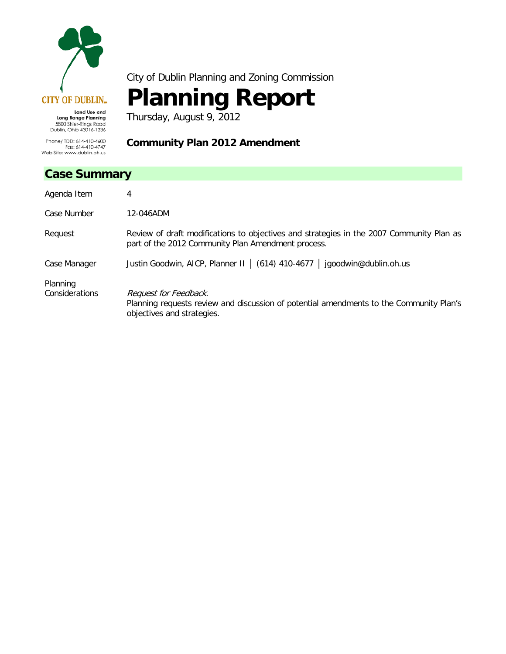

City of Dublin Planning and Zoning Commission

## **Planning Report**

Thursday, August 9, 2012

5800 Shier-Rings Road<br>Dublin, Ohio 43016-1236 Phone/ TDD: 614-410-4600<br>Fax: 614-410-4747 Web Site: www.dublin.oh.us

## **Community Plan 2012 Amendment**

| <b>Case Summary</b>        |                                                                                                                                                |
|----------------------------|------------------------------------------------------------------------------------------------------------------------------------------------|
| Agenda Item                | 4                                                                                                                                              |
| Case Number                | 12-046ADM                                                                                                                                      |
| Request                    | Review of draft modifications to objectives and strategies in the 2007 Community Plan as<br>part of the 2012 Community Plan Amendment process. |
| Case Manager               | Justin Goodwin, AICP, Planner II   (614) 410-4677   jgoodwin@dublin.oh.us                                                                      |
| Planning<br>Considerations | Request for Feedback.<br>Planning requests review and discussion of potential amendments to the Community Plan's<br>objectives and strategies. |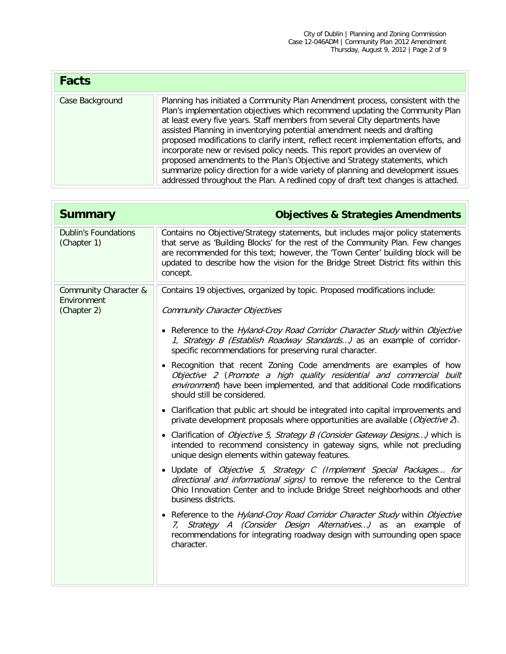| <b>Facts</b>    |                                                                                                                                                                                                                                                                                                                                                                                                                                                                                                                                                                                                                                                                                                                                                          |
|-----------------|----------------------------------------------------------------------------------------------------------------------------------------------------------------------------------------------------------------------------------------------------------------------------------------------------------------------------------------------------------------------------------------------------------------------------------------------------------------------------------------------------------------------------------------------------------------------------------------------------------------------------------------------------------------------------------------------------------------------------------------------------------|
| Case Background | Planning has initiated a Community Plan Amendment process, consistent with the<br>Plan's implementation objectives which recommend updating the Community Plan<br>at least every five years. Staff members from several City departments have<br>assisted Planning in inventorying potential amendment needs and drafting<br>proposed modifications to clarify intent, reflect recent implementation efforts, and<br>incorporate new or revised policy needs. This report provides an overview of<br>proposed amendments to the Plan's Objective and Strategy statements, which<br>summarize policy direction for a wide variety of planning and development issues<br>addressed throughout the Plan. A redlined copy of draft text changes is attached. |

| <b>Summary</b>                                      | <b>Objectives &amp; Strategies Amendments</b>                                                                                                                                                                                                                                                                                                            |
|-----------------------------------------------------|----------------------------------------------------------------------------------------------------------------------------------------------------------------------------------------------------------------------------------------------------------------------------------------------------------------------------------------------------------|
| <b>Dublin's Foundations</b><br>(Chapter 1)          | Contains no Objective/Strategy statements, but includes major policy statements<br>that serve as 'Building Blocks' for the rest of the Community Plan. Few changes<br>are recommended for this text; however, the 'Town Center' building block will be<br>updated to describe how the vision for the Bridge Street District fits within this<br>concept. |
| Community Character &<br>Environment<br>(Chapter 2) | Contains 19 objectives, organized by topic. Proposed modifications include:<br>Community Character Objectives                                                                                                                                                                                                                                            |
|                                                     | • Reference to the Hyland-Croy Road Corridor Character Study within Objective<br>1, Strategy B (Establish Roadway Standards) as an example of corridor-<br>specific recommendations for preserving rural character.                                                                                                                                      |
|                                                     | • Recognition that recent Zoning Code amendments are examples of how<br>Objective 2 (Promote a high quality residential and commercial built<br>environment) have been implemented, and that additional Code modifications<br>should still be considered.                                                                                                |
|                                                     | • Clarification that public art should be integrated into capital improvements and<br>private development proposals where opportunities are available (Objective 2).                                                                                                                                                                                     |
|                                                     | • Clarification of <i>Objective 5, Strategy B (Consider Gateway Designs)</i> which is<br>intended to recommend consistency in gateway signs, while not precluding<br>unique design elements within gateway features.                                                                                                                                     |
|                                                     | · Update of Objective 5, Strategy C (Implement Special Packages for<br>directional and informational signs) to remove the reference to the Central<br>Ohio Innovation Center and to include Bridge Street neighborhoods and other<br>business districts.                                                                                                 |
|                                                     | • Reference to the Hyland-Croy Road Corridor Character Study within Objective<br>7, Strategy A (Consider Design Alternatives) as an example of<br>recommendations for integrating roadway design with surrounding open space<br>character.                                                                                                               |
|                                                     |                                                                                                                                                                                                                                                                                                                                                          |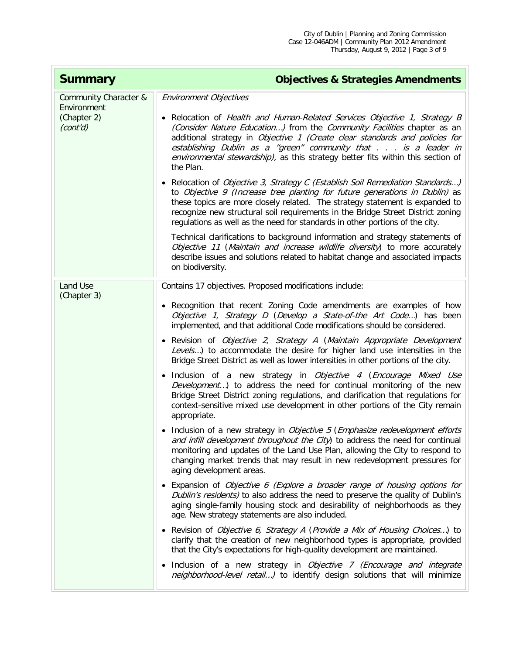| <b>Summary</b>                                                  | <b>Objectives &amp; Strategies Amendments</b>                                                                                                                                                                                                                                                                                                                                                                                                                                                                                                                                                                                                                                                                                                                                                                                                                                                                                                                                                                             |
|-----------------------------------------------------------------|---------------------------------------------------------------------------------------------------------------------------------------------------------------------------------------------------------------------------------------------------------------------------------------------------------------------------------------------------------------------------------------------------------------------------------------------------------------------------------------------------------------------------------------------------------------------------------------------------------------------------------------------------------------------------------------------------------------------------------------------------------------------------------------------------------------------------------------------------------------------------------------------------------------------------------------------------------------------------------------------------------------------------|
| Community Character &<br>Environment<br>(Chapter 2)<br>(cont'd) | <b>Environment Objectives</b><br>• Relocation of Health and Human-Related Services Objective 1, Strategy B<br>(Consider Nature Education) from the Community Facilities chapter as an<br>additional strategy in Objective 1 (Create clear standards and policies for<br>establishing Dublin as a "green" community that is a leader in<br>environmental stewardship), as this strategy better fits within this section of<br>the Plan.<br>• Relocation of Objective 3, Strategy C (Establish Soil Remediation Standards)<br>to Objective 9 (Increase tree planting for future generations in Dublin) as<br>these topics are more closely related. The strategy statement is expanded to<br>recognize new structural soil requirements in the Bridge Street District zoning<br>regulations as well as the need for standards in other portions of the city.<br>Technical clarifications to background information and strategy statements of<br>Objective 11 (Maintain and increase wildlife diversity) to more accurately |
|                                                                 | describe issues and solutions related to habitat change and associated impacts<br>on biodiversity.                                                                                                                                                                                                                                                                                                                                                                                                                                                                                                                                                                                                                                                                                                                                                                                                                                                                                                                        |
| Land Use<br>(Chapter 3)                                         | Contains 17 objectives. Proposed modifications include:<br>• Recognition that recent Zoning Code amendments are examples of how<br>Objective 1, Strategy D (Develop a State-of-the Art Code) has been<br>implemented, and that additional Code modifications should be considered.<br>• Revision of Objective 2, Strategy A (Maintain Appropriate Development<br>Levels) to accommodate the desire for higher land use intensities in the                                                                                                                                                                                                                                                                                                                                                                                                                                                                                                                                                                                 |
|                                                                 | Bridge Street District as well as lower intensities in other portions of the city.<br>· Inclusion of a new strategy in Objective 4 (Encourage Mixed Use<br><i>Development</i> ) to address the need for continual monitoring of the new<br>Bridge Street District zoning regulations, and clarification that regulations for<br>context-sensitive mixed use development in other portions of the City remain<br>appropriate.                                                                                                                                                                                                                                                                                                                                                                                                                                                                                                                                                                                              |
|                                                                 | • Inclusion of a new strategy in Objective 5 (Emphasize redevelopment efforts<br>and infill development throughout the City) to address the need for continual<br>monitoring and updates of the Land Use Plan, allowing the City to respond to<br>changing market trends that may result in new redevelopment pressures for<br>aging development areas.                                                                                                                                                                                                                                                                                                                                                                                                                                                                                                                                                                                                                                                                   |
|                                                                 | • Expansion of Objective 6 (Explore a broader range of housing options for<br>Dublin's residents) to also address the need to preserve the quality of Dublin's<br>aging single-family housing stock and desirability of neighborhoods as they<br>age. New strategy statements are also included.                                                                                                                                                                                                                                                                                                                                                                                                                                                                                                                                                                                                                                                                                                                          |
|                                                                 | • Revision of Objective 6, Strategy A (Provide a Mix of Housing Choices) to<br>clarify that the creation of new neighborhood types is appropriate, provided<br>that the City's expectations for high-quality development are maintained.                                                                                                                                                                                                                                                                                                                                                                                                                                                                                                                                                                                                                                                                                                                                                                                  |
|                                                                 | • Inclusion of a new strategy in Objective 7 (Encourage and integrate<br>neighborhood-level retail) to identify design solutions that will minimize                                                                                                                                                                                                                                                                                                                                                                                                                                                                                                                                                                                                                                                                                                                                                                                                                                                                       |

 $\Box$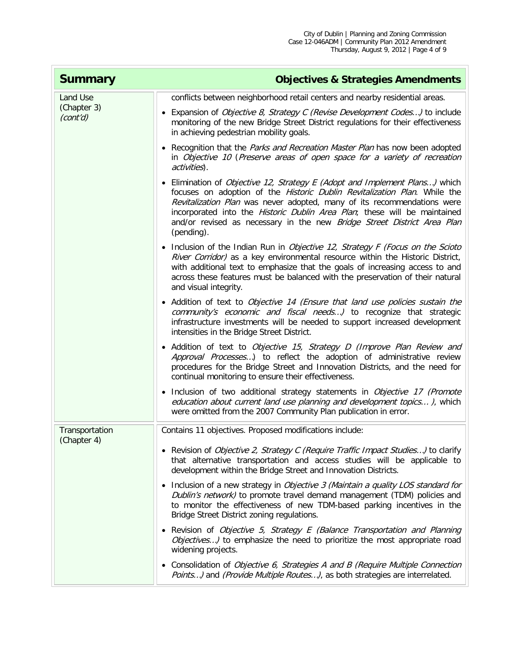| <b>Summary</b>          | <b>Objectives &amp; Strategies Amendments</b>                                                                                                                                                                                                                                                                                                                                                             |
|-------------------------|-----------------------------------------------------------------------------------------------------------------------------------------------------------------------------------------------------------------------------------------------------------------------------------------------------------------------------------------------------------------------------------------------------------|
| Land Use                | conflicts between neighborhood retail centers and nearby residential areas.                                                                                                                                                                                                                                                                                                                               |
| (Chapter 3)<br>(cont'd) | • Expansion of Objective 8, Strategy C (Revise Development Codes) to include<br>monitoring of the new Bridge Street District regulations for their effectiveness<br>in achieving pedestrian mobility goals.                                                                                                                                                                                               |
|                         | • Recognition that the <i>Parks and Recreation Master Plan</i> has now been adopted<br>in Objective 10 (Preserve areas of open space for a variety of recreation<br>activities).                                                                                                                                                                                                                          |
|                         | • Elimination of Objective 12, Strategy E (Adopt and Implement Plans) which<br>focuses on adoption of the Historic Dublin Revitalization Plan. While the<br>Revitalization Plan was never adopted, many of its recommendations were<br>incorporated into the Historic Dublin Area Plan; these will be maintained<br>and/or revised as necessary in the new Bridge Street District Area Plan<br>(pending). |
|                         | • Inclusion of the Indian Run in Objective 12, Strategy F (Focus on the Scioto<br>River Corridor) as a key environmental resource within the Historic District,<br>with additional text to emphasize that the goals of increasing access to and<br>across these features must be balanced with the preservation of their natural<br>and visual integrity.                                                 |
|                         | • Addition of text to Objective 14 (Ensure that land use policies sustain the<br>community's economic and fiscal needs) to recognize that strategic<br>infrastructure investments will be needed to support increased development<br>intensities in the Bridge Street District.                                                                                                                           |
|                         | • Addition of text to Objective 15, Strategy D (Improve Plan Review and<br>Approval Processes) to reflect the adoption of administrative review<br>procedures for the Bridge Street and Innovation Districts, and the need for<br>continual monitoring to ensure their effectiveness.                                                                                                                     |
|                         | . Inclusion of two additional strategy statements in Objective 17 (Promote<br>education about current land use planning and development topics ), which<br>were omitted from the 2007 Community Plan publication in error.                                                                                                                                                                                |
| Transportation          | Contains 11 objectives. Proposed modifications include:                                                                                                                                                                                                                                                                                                                                                   |
| (Chapter 4)             | • Revision of <i>Objective 2, Strategy C (Require Traffic Impact Studies)</i> to clarify<br>that alternative transportation and access studies will be applicable to<br>development within the Bridge Street and Innovation Districts.                                                                                                                                                                    |
|                         | • Inclusion of a new strategy in Objective 3 (Maintain a quality LOS standard for<br>Dublin's network) to promote travel demand management (TDM) policies and<br>to monitor the effectiveness of new TDM-based parking incentives in the<br>Bridge Street District zoning regulations.                                                                                                                    |
|                         | • Revision of Objective 5, Strategy E (Balance Transportation and Planning<br>Objectives) to emphasize the need to prioritize the most appropriate road<br>widening projects.                                                                                                                                                                                                                             |
|                         | • Consolidation of Objective 6, Strategies A and B (Require Multiple Connection<br>Points) and (Provide Multiple Routes), as both strategies are interrelated.                                                                                                                                                                                                                                            |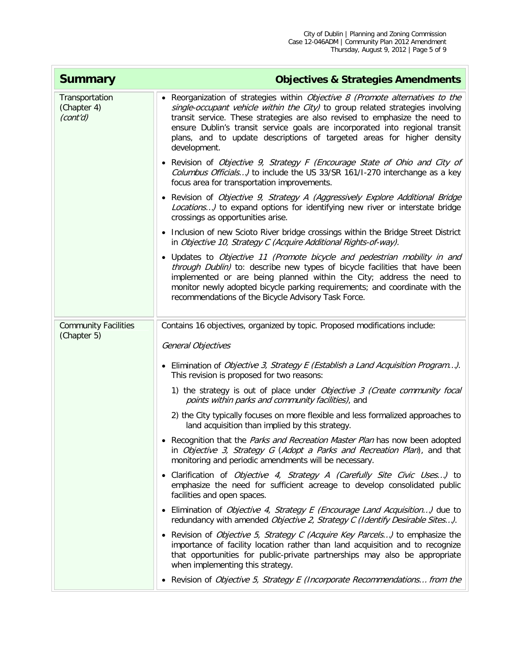| <b>Summary</b>                             | <b>Objectives &amp; Strategies Amendments</b>                                                                                                                                                                                                                                                                                                                                                                             |
|--------------------------------------------|---------------------------------------------------------------------------------------------------------------------------------------------------------------------------------------------------------------------------------------------------------------------------------------------------------------------------------------------------------------------------------------------------------------------------|
| Transportation<br>(Chapter 4)<br>(cont'd)  | • Reorganization of strategies within Objective 8 (Promote alternatives to the<br>single-occupant vehicle within the City) to group related strategies involving<br>transit service. These strategies are also revised to emphasize the need to<br>ensure Dublin's transit service goals are incorporated into regional transit<br>plans, and to update descriptions of targeted areas for higher density<br>development. |
|                                            | • Revision of Objective 9, Strategy F (Encourage State of Ohio and City of<br>Columbus Officials) to include the US 33/SR 161/1-270 interchange as a key<br>focus area for transportation improvements.                                                                                                                                                                                                                   |
|                                            | • Revision of Objective 9, Strategy A (Aggressively Explore Additional Bridge<br>Locations) to expand options for identifying new river or interstate bridge<br>crossings as opportunities arise.                                                                                                                                                                                                                         |
|                                            | • Inclusion of new Scioto River bridge crossings within the Bridge Street District<br>in Objective 10, Strategy C (Acquire Additional Rights-of-way).                                                                                                                                                                                                                                                                     |
|                                            | • Updates to Objective 11 (Promote bicycle and pedestrian mobility in and<br>through Dublin) to: describe new types of bicycle facilities that have been<br>implemented or are being planned within the City; address the need to<br>monitor newly adopted bicycle parking requirements; and coordinate with the<br>recommendations of the Bicycle Advisory Task Force.                                                   |
| <b>Community Facilities</b><br>(Chapter 5) | Contains 16 objectives, organized by topic. Proposed modifications include:                                                                                                                                                                                                                                                                                                                                               |
|                                            | General Objectives                                                                                                                                                                                                                                                                                                                                                                                                        |
|                                            | • Elimination of Objective 3, Strategy E (Establish a Land Acquisition Program).<br>This revision is proposed for two reasons:                                                                                                                                                                                                                                                                                            |
|                                            | 1) the strategy is out of place under <i>Objective 3 (Create community focal</i><br>points within parks and community facilities), and                                                                                                                                                                                                                                                                                    |
|                                            | 2) the City typically focuses on more flexible and less formalized approaches to<br>land acquisition than implied by this strategy.                                                                                                                                                                                                                                                                                       |
|                                            | • Recognition that the Parks and Recreation Master Plan has now been adopted<br>in Objective 3, Strategy G (Adopt a Parks and Recreation Plan), and that<br>monitoring and periodic amendments will be necessary.                                                                                                                                                                                                         |
|                                            | • Clarification of Objective 4, Strategy A (Carefully Site Civic Uses) to<br>emphasize the need for sufficient acreage to develop consolidated public<br>facilities and open spaces.                                                                                                                                                                                                                                      |
|                                            | • Elimination of Objective 4, Strategy E (Encourage Land Acquisition) due to<br>redundancy with amended Objective 2, Strategy C (Identify Desirable Sites).                                                                                                                                                                                                                                                               |
|                                            | • Revision of <i>Objective 5, Strategy C (Acquire Key Parcels)</i> to emphasize the<br>importance of facility location rather than land acquisition and to recognize<br>that opportunities for public-private partnerships may also be appropriate<br>when implementing this strategy.                                                                                                                                    |
|                                            | • Revision of <i>Objective 5, Strategy E (Incorporate Recommendations from the</i>                                                                                                                                                                                                                                                                                                                                        |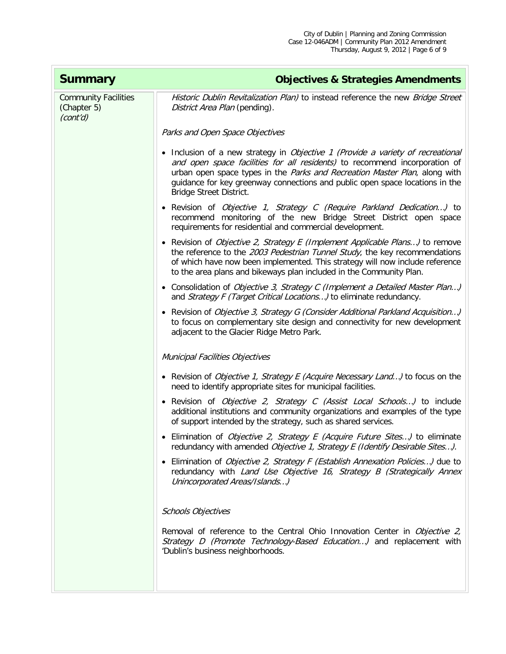| <b>Summary</b>                                         | <b>Objectives &amp; Strategies Amendments</b>                                                                                                                                                                                                                                                                                                                                |
|--------------------------------------------------------|------------------------------------------------------------------------------------------------------------------------------------------------------------------------------------------------------------------------------------------------------------------------------------------------------------------------------------------------------------------------------|
| <b>Community Facilities</b><br>(Chapter 5)<br>(cont'd) | Historic Dublin Revitalization Plan) to instead reference the new Bridge Street<br>District Area Plan (pending).                                                                                                                                                                                                                                                             |
|                                                        | Parks and Open Space Objectives                                                                                                                                                                                                                                                                                                                                              |
|                                                        | • Inclusion of a new strategy in <i>Objective 1 (Provide a variety of recreational</i><br>and open space facilities for all residents) to recommend incorporation of<br>urban open space types in the <i>Parks and Recreation Master Plan</i> , along with<br>guidance for key greenway connections and public open space locations in the<br><b>Bridge Street District.</b> |
|                                                        | · Revision of Objective 1, Strategy C (Require Parkland Dedication) to<br>recommend monitoring of the new Bridge Street District open space<br>requirements for residential and commercial development.                                                                                                                                                                      |
|                                                        | • Revision of <i>Objective 2, Strategy E (Implement Applicable Plans)</i> to remove<br>the reference to the 2003 Pedestrian Tunnel Study, the key recommendations<br>of which have now been implemented. This strategy will now include reference<br>to the area plans and bikeways plan included in the Community Plan.                                                     |
|                                                        | • Consolidation of Objective 3, Strategy C (Implement a Detailed Master Plan)<br>and Strategy F (Target Critical Locations) to eliminate redundancy.                                                                                                                                                                                                                         |
|                                                        | • Revision of Objective 3, Strategy G (Consider Additional Parkland Acquisition)<br>to focus on complementary site design and connectivity for new development<br>adjacent to the Glacier Ridge Metro Park.                                                                                                                                                                  |
|                                                        | Municipal Facilities Objectives                                                                                                                                                                                                                                                                                                                                              |
|                                                        | • Revision of <i>Objective 1, Strategy E (Acquire Necessary Land)</i> to focus on the<br>need to identify appropriate sites for municipal facilities.                                                                                                                                                                                                                        |
|                                                        | • Revision of <i>Objective 2, Strategy C (Assist Local Schools)</i> to include<br>additional institutions and community organizations and examples of the type<br>of support intended by the strategy, such as shared services.                                                                                                                                              |
|                                                        | • Elimination of Objective 2, Strategy E (Acquire Future Sites) to eliminate<br>redundancy with amended Objective 1, Strategy E (Identify Desirable Sites).                                                                                                                                                                                                                  |
|                                                        | • Elimination of Objective 2, Strategy F (Establish Annexation Policies) due to<br>redundancy with Land Use Objective 16, Strategy B (Strategically Annex<br>Unincorporated Areas/Islands)                                                                                                                                                                                   |
|                                                        | <b>Schools Objectives</b>                                                                                                                                                                                                                                                                                                                                                    |
|                                                        | Removal of reference to the Central Ohio Innovation Center in Objective 2,<br>Strategy D (Promote Technology-Based Education) and replacement with<br>'Dublin's business neighborhoods.                                                                                                                                                                                      |
|                                                        |                                                                                                                                                                                                                                                                                                                                                                              |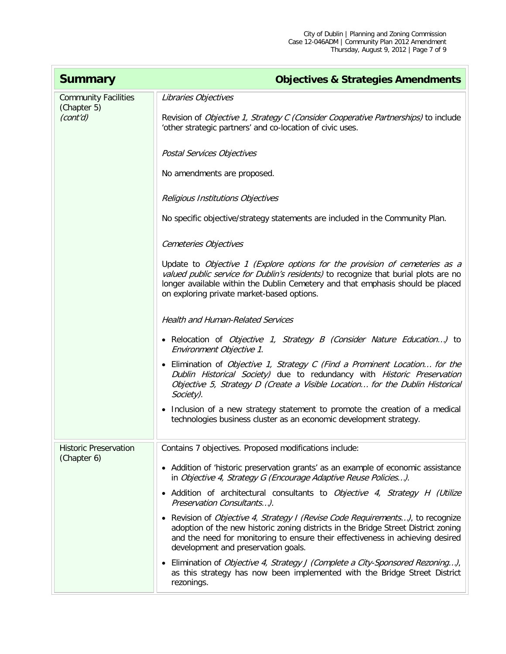| <b>Summary</b>                                         | <b>Objectives &amp; Strategies Amendments</b>                                                                                                                                                                                                                                                         |
|--------------------------------------------------------|-------------------------------------------------------------------------------------------------------------------------------------------------------------------------------------------------------------------------------------------------------------------------------------------------------|
| <b>Community Facilities</b><br>(Chapter 5)<br>(cont'd) | Libraries Objectives<br>Revision of Objective 1, Strategy C (Consider Cooperative Partnerships) to include<br>'other strategic partners' and co-location of civic uses.                                                                                                                               |
|                                                        | Postal Services Objectives<br>No amendments are proposed.                                                                                                                                                                                                                                             |
|                                                        | Religious Institutions Objectives                                                                                                                                                                                                                                                                     |
|                                                        | No specific objective/strategy statements are included in the Community Plan.<br><b>Cemeteries Objectives</b>                                                                                                                                                                                         |
|                                                        | Update to Objective 1 (Explore options for the provision of cemeteries as a<br>valued public service for Dublin's residents) to recognize that burial plots are no<br>longer available within the Dublin Cemetery and that emphasis should be placed<br>on exploring private market-based options.    |
|                                                        | <b>Health and Human-Related Services</b>                                                                                                                                                                                                                                                              |
|                                                        | • Relocation of <i>Objective 1, Strategy B (Consider Nature Education)</i> to<br>Environment Objective 1.                                                                                                                                                                                             |
|                                                        | • Elimination of Objective 1, Strategy C (Find a Prominent Location for the<br>Dublin Historical Society) due to redundancy with Historic Preservation<br>Objective 5, Strategy D (Create a Visible Location for the Dublin Historical<br>Society).                                                   |
|                                                        | • Inclusion of a new strategy statement to promote the creation of a medical<br>technologies business cluster as an economic development strategy.                                                                                                                                                    |
| <b>Historic Preservation</b><br>(Chapter 6)            | Contains 7 objectives. Proposed modifications include:<br>• Addition of 'historic preservation grants' as an example of economic assistance<br>in Objective 4, Strategy G (Encourage Adaptive Reuse Policies).                                                                                        |
|                                                        | • Addition of architectural consultants to Objective 4, Strategy H (Utilize<br>Preservation Consultants).                                                                                                                                                                                             |
|                                                        | • Revision of <i>Objective 4, Strategy I (Revise Code Requirements)</i> , to recognize<br>adoption of the new historic zoning districts in the Bridge Street District zoning<br>and the need for monitoring to ensure their effectiveness in achieving desired<br>development and preservation goals. |
|                                                        | • Elimination of Objective 4, Strategy J (Complete a City-Sponsored Rezoning),<br>as this strategy has now been implemented with the Bridge Street District<br>rezonings.                                                                                                                             |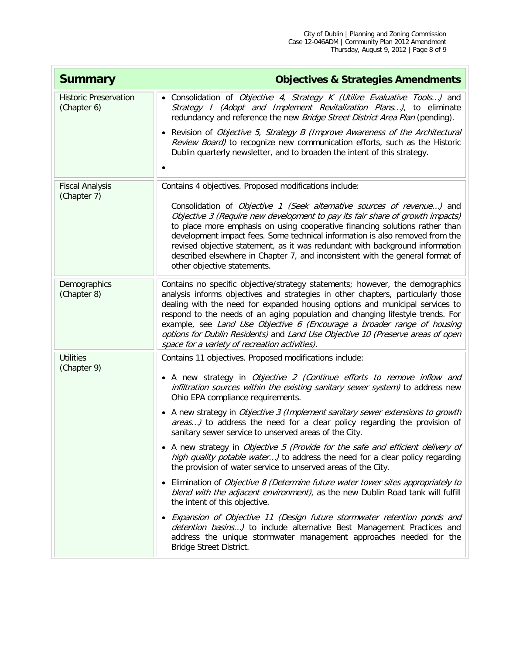| <b>Summary</b>                              | <b>Objectives &amp; Strategies Amendments</b>                                                                                                                                                                                                                                                                                                                                                                                                                      |
|---------------------------------------------|--------------------------------------------------------------------------------------------------------------------------------------------------------------------------------------------------------------------------------------------------------------------------------------------------------------------------------------------------------------------------------------------------------------------------------------------------------------------|
| <b>Historic Preservation</b><br>(Chapter 6) | • Consolidation of Objective 4, Strategy K (Utilize Evaluative Tools) and<br>Strategy I (Adopt and Implement Revitalization Plans), to eliminate<br>redundancy and reference the new Bridge Street District Area Plan (pending).                                                                                                                                                                                                                                   |
|                                             | • Revision of Objective 5, Strategy B (Improve Awareness of the Architectural<br>Review Board) to recognize new communication efforts, such as the Historic<br>Dublin quarterly newsletter, and to broaden the intent of this strategy.                                                                                                                                                                                                                            |
| <b>Fiscal Analysis</b>                      | Contains 4 objectives. Proposed modifications include:                                                                                                                                                                                                                                                                                                                                                                                                             |
| (Chapter 7)                                 | Consolidation of Objective 1 (Seek alternative sources of revenue) and                                                                                                                                                                                                                                                                                                                                                                                             |
|                                             | Objective 3 (Require new development to pay its fair share of growth impacts)<br>to place more emphasis on using cooperative financing solutions rather than<br>development impact fees. Some technical information is also removed from the<br>revised objective statement, as it was redundant with background information<br>described elsewhere in Chapter 7, and inconsistent with the general format of<br>other objective statements.                       |
| Demographics                                | Contains no specific objective/strategy statements; however, the demographics                                                                                                                                                                                                                                                                                                                                                                                      |
| (Chapter 8)                                 | analysis informs objectives and strategies in other chapters, particularly those<br>dealing with the need for expanded housing options and municipal services to<br>respond to the needs of an aging population and changing lifestyle trends. For<br>example, see Land Use Objective 6 (Encourage a broader range of housing<br>options for Dublin Residents) and Land Use Objective 10 (Preserve areas of open<br>space for a variety of recreation activities). |
| <b>Utilities</b><br>(Chapter 9)             | Contains 11 objectives. Proposed modifications include:                                                                                                                                                                                                                                                                                                                                                                                                            |
|                                             | • A new strategy in Objective 2 (Continue efforts to remove inflow and<br>infiltration sources within the existing sanitary sewer system) to address new<br>Ohio EPA compliance requirements.                                                                                                                                                                                                                                                                      |
|                                             | • A new strategy in Objective 3 (Implement sanitary sewer extensions to growth<br>areas) to address the need for a clear policy regarding the provision of<br>sanitary sewer service to unserved areas of the City.                                                                                                                                                                                                                                                |
|                                             | • A new strategy in Objective 5 (Provide for the safe and efficient delivery of<br>high quality potable water) to address the need for a clear policy regarding<br>the provision of water service to unserved areas of the City.                                                                                                                                                                                                                                   |
|                                             | • Elimination of Objective 8 (Determine future water tower sites appropriately to<br>blend with the adjacent environment), as the new Dublin Road tank will fulfill<br>the intent of this objective.                                                                                                                                                                                                                                                               |
|                                             | • Expansion of Objective 11 (Design future stormwater retention ponds and<br>detention basins) to include alternative Best Management Practices and<br>address the unique stormwater management approaches needed for the<br>Bridge Street District.                                                                                                                                                                                                               |

 $\Box$